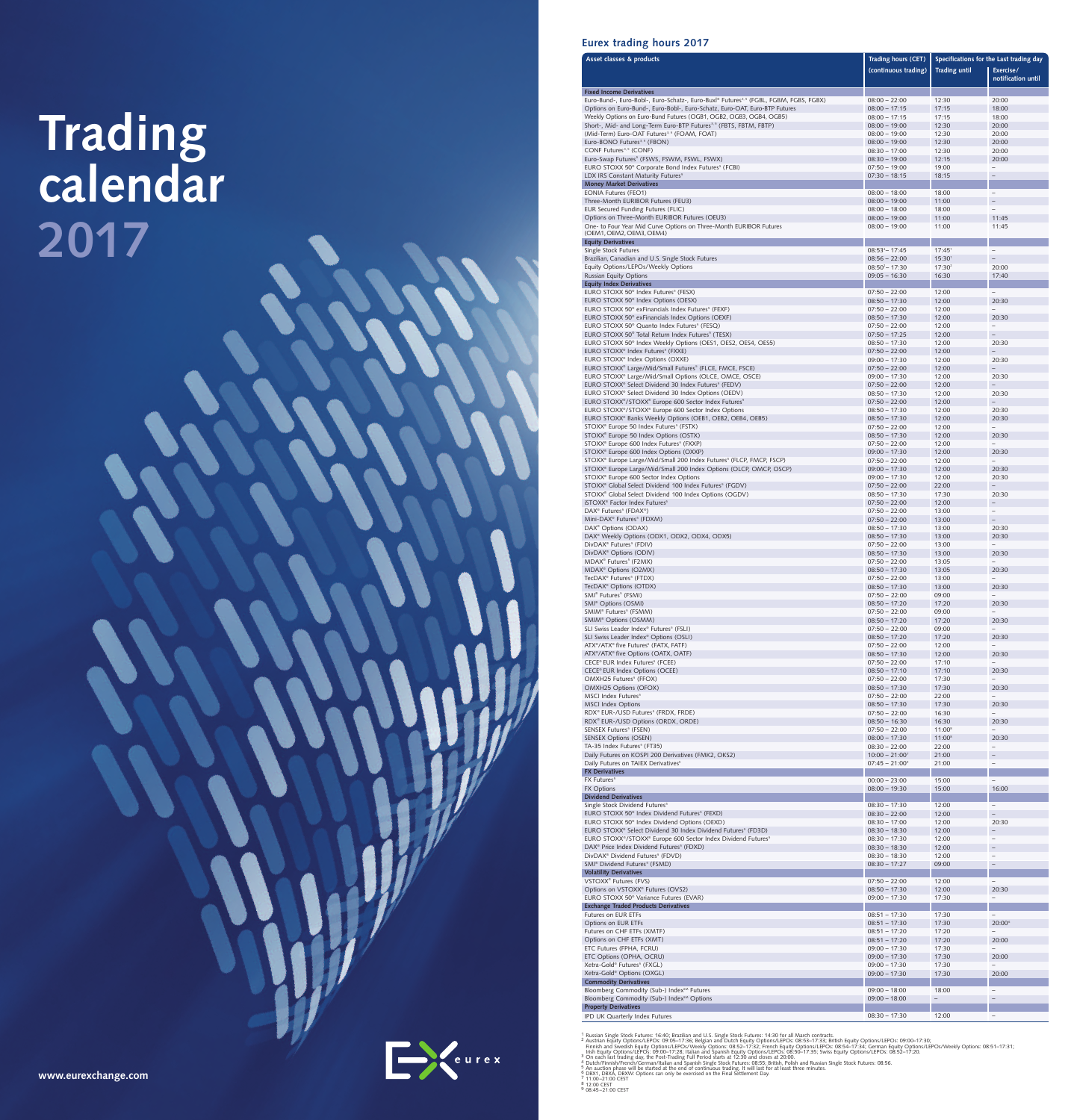# Trading<br>calendar 2017



| Asset classes & products                                                                                                                       | Trading hours (CET)                |                          | Specifications for the Last trading day |
|------------------------------------------------------------------------------------------------------------------------------------------------|------------------------------------|--------------------------|-----------------------------------------|
|                                                                                                                                                | (continuous trading)               | <b>Trading until</b>     | Exercise/                               |
|                                                                                                                                                |                                    |                          | notification until                      |
| <b>Fixed Income Derivatives</b><br>Euro-Bund-, Euro-Bobl-, Euro-Schatz-, Euro-Buxl® Futures <sup>3,5</sup> (FGBL, FGBM, FGBS, FGBX)            | $08:00 - 22:00$                    | 12:30                    | 20:00                                   |
| Options on Euro-Bund-, Euro-Bobl-, Euro-Schatz, Euro-OAT, Euro-BTP Futures                                                                     | $08:00 - 17:15$                    | 17:15                    | 18:00                                   |
| Weekly Options on Euro-Bund Futures (OGB1, OGB2, OGB3, OGB4, OGB5)                                                                             | $08:00 - 17:15$                    | 17:15                    | 18:00                                   |
| Short-, Mid- and Long-Term Euro-BTP Futures <sup>3,5</sup> (FBTS, FBTM, FBTP)<br>(Mid-Term) Euro-OAT Futures <sup>3,5</sup> (FOAM, FOAT)       | $08:00 - 19:00$<br>$08:00 - 19:00$ | 12:30<br>12:30           | 20:00<br>20:00                          |
| Euro-BONO Futures <sup>3,5</sup> (FBON)                                                                                                        | $08:00 - 19:00$                    | 12:30                    | 20:00                                   |
| CONF Futures <sup>3,5</sup> (CONF)                                                                                                             | $08:30 - 17:00$                    | 12:30                    | 20:00                                   |
| Euro-Swap Futures <sup>5</sup> (FSWS, FSWM, FSWL, FSWX)                                                                                        | $08:30 - 19:00$                    | 12:15                    | 20:00                                   |
| EURO STOXX 50 <sup>®</sup> Corporate Bond Index Futures <sup>5</sup> (FCBI)<br>LDX IRS Constant Maturity Futures <sup>5</sup>                  | $07:50 - 19:00$<br>$07:30 - 18:15$ | 19:00<br>18:15           | ÷.                                      |
| <b>Money Market Derivatives</b>                                                                                                                |                                    |                          |                                         |
| <b>EONIA Futures (FEO1)</b>                                                                                                                    | $08:00 - 18:00$                    | 18:00                    | $\qquad \qquad -$                       |
| Three-Month EURIBOR Futures (FEU3)                                                                                                             | $08:00 - 19:00$                    | 11:00                    | $\overline{\phantom{0}}$                |
| EUR Secured Funding Futures (FLIC)<br>Options on Three-Month EURIBOR Futures (OEU3)                                                            | $08:00 - 18:00$<br>$08:00 - 19:00$ | 18:00<br>11:00           | -<br>11:45                              |
| One- to Four Year Mid Curve Options on Three-Month EURIBOR Futures                                                                             | $08:00 - 19:00$                    | 11:00                    | 11:45                                   |
| (OEM1, OEM2, OEM3, OEM4)                                                                                                                       |                                    |                          |                                         |
| <b>Equity Derivatives</b><br>Single Stock Futures                                                                                              | $08:53^{4} - 17:45$                | $17:45^1$                | $\overline{\phantom{0}}$                |
| Brazilian, Canadian and U.S. Single Stock Futures                                                                                              | $08:56 - 22:00$                    | 15:30 <sup>1</sup>       |                                         |
| Equity Options/LEPOs/Weekly Options                                                                                                            | $08:50^2 - 17:30$                  | 17:30 <sup>2</sup>       | 20:00                                   |
| <b>Russian Equity Options</b><br><b>Equity Index Derivatives</b>                                                                               | $09:05 - 16:30$                    | 16:30                    | 17:40                                   |
| EURO STOXX 50 <sup>®</sup> Index Futures <sup>5</sup> (FESX)                                                                                   | $07:50 - 22:00$                    | 12:00                    | $\qquad \qquad -$                       |
| EURO STOXX 50 <sup>®</sup> Index Options (OESX)                                                                                                | $08:50 - 17:30$                    | 12:00                    | 20:30                                   |
| EURO STOXX 50 <sup>®</sup> exFinancials Index Futures <sup>5</sup> (FEXF)                                                                      | $07:50 - 22:00$                    | 12:00                    | $\overline{\phantom{0}}$                |
| EURO STOXX 50 <sup>®</sup> exFinancials Index Options (OEXF)<br>EURO STOXX 50 <sup>®</sup> Quanto Index Futures <sup>5</sup> (FESQ)            | $08:50 - 17:30$<br>$07:50 - 22:00$ | 12:00<br>12:00           | 20:30<br>$\overline{\phantom{0}}$       |
| EURO STOXX 50 <sup>®</sup> Total Return Index Futures <sup>5</sup> (TESX)                                                                      | $07:50 - 17:25$                    | 12:00                    |                                         |
| EURO STOXX 50 <sup>®</sup> Index Weekly Options (OES1, OES2, OES4, OES5)                                                                       | $08:50 - 17:30$                    | 12:00                    | 20:30                                   |
| EURO STOXX <sup>®</sup> Index Futures <sup>5</sup> (FXXE)                                                                                      | $07:50 - 22:00$                    | 12:00                    |                                         |
| EURO STOXX <sup>®</sup> Index Options (OXXE)<br>EURO STOXX® Large/Mid/Small Futures <sup>5</sup> (FLCE, FMCE, FSCE)                            | $09:00 - 17:30$<br>$07:50 - 22:00$ | 12:00<br>12:00           | 20:30                                   |
| EURO STOXX® Large/Mid/Small Options (OLCE, OMCE, OSCE)                                                                                         | $09:00 - 17:30$                    | 12:00                    | 20:30                                   |
| EURO STOXX® Select Dividend 30 Index Futures <sup>5</sup> (FEDV)                                                                               | $07:50 - 22:00$                    | 12:00                    |                                         |
| EURO STOXX <sup>®</sup> Select Dividend 30 Index Options (OEDV)                                                                                | $08:50 - 17:30$                    | 12:00                    | 20:30                                   |
| EURO STOXX <sup>®</sup> /STOXX <sup>®</sup> Europe 600 Sector Index Futures <sup>5</sup><br>EURO STOXX®/STOXX® Europe 600 Sector Index Options | $07:50 - 22:00$<br>$08:50 - 17:30$ | 12:00<br>12:00           | 20:30                                   |
| EURO STOXX <sup>®</sup> Banks Weekly Options (OEB1, OEB2, OEB4, OEB5)                                                                          | $08:50 - 17:30$                    | 12:00                    | 20:30                                   |
| STOXX <sup>®</sup> Europe 50 Index Futures <sup>5</sup> (FSTX)                                                                                 | $07:50 - 22:00$                    | 12:00                    | $\overline{\phantom{0}}$                |
| STOXX® Europe 50 Index Options (OSTX)                                                                                                          | $08:50 - 17:30$                    | 12:00                    | 20:30                                   |
| STOXX® Europe 600 Index Futures <sup>5</sup> (FXXP)<br>STOXX® Europe 600 Index Options (OXXP)                                                  | $07:50 - 22:00$<br>$09:00 - 17:30$ | 12:00<br>12:00           | 20:30                                   |
| STOXX® Europe Large/Mid/Small 200 Index Futures <sup>5</sup> (FLCP, FMCP, FSCP)                                                                | $07:50 - 22:00$                    | 12:00                    |                                         |
| STOXX <sup>®</sup> Europe Large/Mid/Small 200 Index Options (OLCP, OMCP, OSCP)                                                                 | $09:00 - 17:30$                    | 12:00                    | 20:30                                   |
| STOXX® Europe 600 Sector Index Options<br>STOXX® Global Select Dividend 100 Index Futures <sup>5</sup> (FGDV)                                  | $09:00 - 17:30$                    | 12:00<br>22:00           | 20:30                                   |
| STOXX® Global Select Dividend 100 Index Options (OGDV)                                                                                         | $07:50 - 22:00$<br>$08:50 - 17:30$ | 17:30                    | 20:30                                   |
| iSTOXX <sup>®</sup> Factor Index Futures <sup>5</sup>                                                                                          | $07:50 - 22:00$                    | 12:00                    | -                                       |
| DAX <sup>®</sup> Futures <sup>5</sup> (FDAX <sup>®</sup> )                                                                                     | $07:50 - 22:00$                    | 13:00                    | $\overline{\phantom{0}}$                |
| Mini-DAX® Futures <sup>5</sup> (FDXM)                                                                                                          | $07:50 - 22:00$                    | 13:00<br>13:00           | $\qquad \qquad -$<br>20:30              |
| DAX <sup>®</sup> Options (ODAX)<br>DAX <sup>®</sup> Weekly Options (ODX1, ODX2, ODX4, ODX5)                                                    | $08:50 - 17:30$<br>$08:50 - 17:30$ | 13:00                    | 20:30                                   |
| DivDAX <sup>®</sup> Futures <sup>5</sup> (FDIV)                                                                                                | $07:50 - 22:00$                    | 13:00                    | $\overline{\phantom{0}}$                |
| DivDAX <sup>®</sup> Options (ODIV)                                                                                                             | $08:50 - 17:30$                    | 13:00                    | 20:30                                   |
| MDAX <sup>®</sup> Futures <sup>5</sup> (F2MX)<br>MDAX <sup>®</sup> Options (O2MX)                                                              | $07:50 - 22:00$<br>$08:50 - 17:30$ | 13:05<br>13:05           | $\overline{\phantom{0}}$<br>20:30       |
| TecDAX® Futures <sup>5</sup> (FTDX)                                                                                                            | $07:50 - 22:00$                    | 13:00                    | $\overline{\phantom{0}}$                |
| TecDAX <sup>®</sup> Options (OTDX)                                                                                                             | $08:50 - 17:30$                    | 13:00                    | 20:30                                   |
| SMI <sup>®</sup> Futures <sup>5</sup> (FSMI)                                                                                                   | $07:50 - 22:00$                    | 09:00                    | $\overline{\phantom{0}}$                |
| SMI <sup>®</sup> Options (OSMI)<br>SMIM <sup>®</sup> Futures <sup>5</sup> (FSMM)                                                               | $08:50 - 17:20$<br>$07:50 - 22:00$ | 17:20<br>09:00           | 20:30<br>÷.                             |
| SMIM <sup>®</sup> Options (OSMM)                                                                                                               | $08:50 - 17:20$                    | 17:20                    | 20:30                                   |
| SLI Swiss Leader Index® Futures <sup>5</sup> (FSLI)                                                                                            | $07:50 - 22:00$                    | 09:00                    | $\overline{\phantom{0}}$                |
| SLI Swiss Leader Index <sup>®</sup> Options (OSLI)                                                                                             | $08:50 - 17:20$                    | 17:20                    | 20:30<br>$\qquad \qquad -$              |
| ATX <sup>®</sup> /ATX <sup>®</sup> five Futures <sup>5</sup> (FATX, FATF)<br>ATX <sup>®</sup> /ATX <sup>®</sup> five Options (OATX, OATF)      | $07:50 - 22:00$<br>$08:50 - 17:30$ | 12:00<br>12:00           | 20:30                                   |
| CECE® EUR Index Futures <sup>5</sup> (FCEE)                                                                                                    | $07:50 - 22:00$                    | 17:10                    | $\overline{\phantom{0}}$                |
| CECE® EUR Index Options (OCEE)                                                                                                                 | $08:50 - 17:10$                    | 17:10                    | 20:30                                   |
| OMXH25 Futures <sup>5</sup> (FFOX)<br>OMXH25 Options (OFOX)                                                                                    | $07:50 - 22:00$                    | 17:30<br>17:30           | $\overline{\phantom{0}}$                |
| MSCI Index Futures <sup>5</sup>                                                                                                                | $08:50 - 17:30$<br>$07:50 - 22:00$ | 22:00                    | 20:30                                   |
| <b>MSCI Index Options</b>                                                                                                                      | $08:50 - 17:30$                    | 17:30                    | 20:30                                   |
| RDX® EUR-/USD Futures <sup>5</sup> (FRDX, FRDE)                                                                                                | $07:50 - 22:00$                    | 16:30                    | $\overline{\phantom{0}}$                |
| RDX <sup>®</sup> EUR-/USD Options (ORDX, ORDE)<br>SENSEX Futures <sup>5</sup> (FSEN)                                                           | $08:50 - 16:30$<br>$07:50 - 22:00$ | 16:30<br>$11:00^8$       | 20:30<br>-                              |
| <b>SENSEX Options (OSEN)</b>                                                                                                                   | $08:00 - 17:30$                    | $11:00^8$                | 20:30                                   |
| TA-35 Index Futures <sup>5</sup> (FT35)                                                                                                        | $08:30 - 22:00$                    | 22:00                    | $\qquad \qquad -$                       |
| Daily Futures on KOSPI 200 Derivatives (FMK2, OKS2)                                                                                            | $10:00 - 21:00^{7}$                | 21:00                    | $\overline{\phantom{0}}$                |
| Daily Futures on TAIEX Derivatives <sup>5</sup><br><b>FX Derivatives</b>                                                                       | $07:45 - 21:00^9$                  | 21:00                    | $\overline{a}$                          |
| FX Futures <sup>5</sup>                                                                                                                        | $00:00 - 23:00$                    | 15:00                    | $\overline{\phantom{0}}$                |
| <b>FX Options</b>                                                                                                                              | $08:00 - 19:30$                    | 15:00                    | 16:00                                   |
| <b>Dividend Derivatives</b>                                                                                                                    |                                    |                          |                                         |
| Single Stock Dividend Futures <sup>5</sup><br>EURO STOXX 50 <sup>®</sup> Index Dividend Futures <sup>5</sup> (FEXD)                            | $08:30 - 17:30$<br>$08:30 - 22:00$ | 12:00<br>12:00           | $\qquad \qquad -$<br>$\overline{a}$     |
| EURO STOXX 50 <sup>®</sup> Index Dividend Options (OEXD)                                                                                       | $08:30 - 17:00$                    | 12:00                    | 20:30                                   |
| EURO STOXX <sup>®</sup> Select Dividend 30 Index Dividend Futures <sup>5</sup> (FD3D)                                                          | $08:30 - 18:30$                    | 12:00                    |                                         |
| EURO STOXX®/STOXX® Europe 600 Sector Index Dividend Futures <sup>5</sup>                                                                       | $08:30 - 17:30$                    | 12:00                    | $\overline{\phantom{0}}$                |
| DAX <sup>®</sup> Price Index Dividend Futures <sup>5</sup> (FDXD)<br>DivDAX <sup>®</sup> Dividend Futures <sup>5</sup> (FDVD)                  | $08:30 - 18:30$<br>$08:30 - 18:30$ | 12:00<br>12:00           | $\overline{a}$                          |
| SMI <sup>®</sup> Dividend Futures <sup>5</sup> (FSMD)                                                                                          | $08:30 - 17:27$                    | 09:00                    |                                         |
| <b>Volatility Derivatives</b>                                                                                                                  |                                    |                          |                                         |
| VSTOXX <sup>®</sup> Futures (FVS)                                                                                                              | $07:50 - 22:00$                    | 12:00                    |                                         |
| Options on VSTOXX® Futures (OVS2)<br>EURO STOXX 50 <sup>®</sup> Variance Futures (EVAR)                                                        | $08:50 - 17:30$<br>$09:00 - 17:30$ | 12:00<br>17:30           | 20:30<br>$\overline{\phantom{0}}$       |
| <b>Exchange Traded Products Derivatives</b>                                                                                                    |                                    |                          |                                         |
| Futures on EUR ETFs                                                                                                                            | $08:51 - 17:30$                    | 17:30                    | -                                       |
| Options on EUR ETFs                                                                                                                            | $08:51 - 17:30$                    | 17:30                    | 20:00 <sup>6</sup>                      |
| Futures on CHF ETFs (XMTF)<br>Options on CHF ETFs (XMT)                                                                                        | $08:51 - 17:20$<br>$08:51 - 17:20$ | 17:20<br>17:20           | 20:00                                   |
| ETC Futures (FPHA, FCRU)                                                                                                                       | $09:00 - 17:30$                    | 17:30                    | $\overline{\phantom{0}}$                |
| ETC Options (OPHA, OCRU)                                                                                                                       | $09:00 - 17:30$                    | 17:30                    | 20:00                                   |
| Xetra-Gold® Futures <sup>5</sup> (FXGL)                                                                                                        | $09:00 - 17:30$                    | 17:30                    | $\overline{\phantom{0}}$                |
| Xetra-Gold® Options (OXGL)<br><b>Commodity Derivatives</b>                                                                                     | $09:00 - 17:30$                    | 17:30                    | 20:00                                   |
| Bloomberg Commodity (Sub-) Index <sup>5M</sup> Futures                                                                                         | $09:00 - 18:00$                    | 18:00                    | $\overline{\phantom{a}}$                |
| Bloomberg Commodity (Sub-) Index <sup>5M</sup> Options                                                                                         | $09:00 - 18:00$                    | $\overline{\phantom{a}}$ | $\overline{\phantom{0}}$                |
| <b>Property Derivatives</b>                                                                                                                    |                                    |                          |                                         |
| IPD UK Quarterly Index Futures                                                                                                                 | $08:30 - 17:30$                    | 12:00                    | $\overline{\phantom{0}}$                |

1 Russian Single Stock Futures: 16:40; Brazilian and U.S. Single Stock Futures: 14:30 for all March contracts.<br>
2 Austrian Equity Options/LEPOs: 09:05–17:36; Belgian and Dutch Equity Options/LEPOs: 08:53–17:33; British Equ

Leurex

www.eurexchange.com